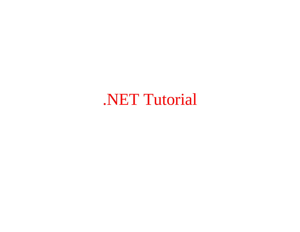## .NET Tutorial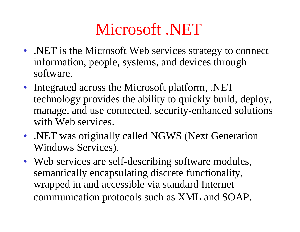## Microsoft .NET

- .NET is the Microsoft Web services strategy to connect information, people, systems, and devices through software.
- Integrated across the Microsoft platform, .NET technology provides the ability to quickly build, deploy, manage, and use connected, security-enhanced solutions with Web services.
- .NET was originally called NGWS (Next Generation Windows Services).
- Web services are self-describing software modules, semantically encapsulating discrete functionality, wrapped in and accessible via standard Internet communication protocols such as XML and SOAP.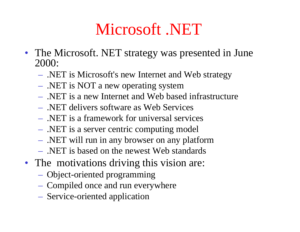## Microsoft .NET

- The Microsoft. NET strategy was presented in June 2000:
	- $\mathcal{L}_{\mathcal{A}}$ - .NET is Microsoft's new Internet and Web strategy
	- $\mathcal{L}_{\mathcal{A}}$ - .NET is NOT a new operating system
	- .NET is a new Internet and Web based infrastructure
	- .NET delivers software as Web Services
	- .NET is a framework for universal services
	- $\mathcal{L}_{\mathcal{A}}$ .NET is a server centric computing model
	- $\mathcal{L}_{\mathcal{A}}$ .NET will run in any browser on any platform
	- .NET is based on the newest Web standards
- The motivations driving this vision are:
	- $\mathcal{L}_{\mathcal{A}}$ Object-oriented programming
	- –– Compiled once and run everywhere
	- $\mathcal{L}_{\mathcal{A}}$ Service-oriented application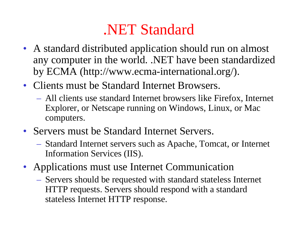#### .NET Standard

- A standard distributed application should run on almost any computer in the world. .NET have been standardized by ECMA (http://www.ecma-international.org/).
- Clients must be Standard Internet Browsers.
	- All clients use standard Internet browsers like Firefox, Internet Explorer, or Netscape running on Windows, Linux, or Mac computers.
- Servers must be Standard Internet Servers.
	- Standard Internet servers such as Apache, Tomcat, or Internet Information Services (IIS).
- Applications must use Internet Communication
	- Servers should be requested with standard stateless Internet HTTP requests. Servers should respond with a standard stateless Internet HTTP response.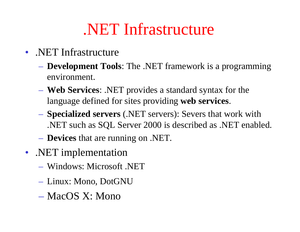#### .NET Infrastructure

- .NET Infrastructure
	- **Development Tools**: The .NET framework is a programming environment.
	- **Web Services**: .NET provides a standard syntax for the language defined for sites providing **web services**.
	- **Specialized servers** (.NET servers): Severs that work with .NET such as SQL Server 2000 is described as .NET enabled.
	- **Devices** that are running on .NET.
- .NET implementation
	- Windows: Microsoft .NET
	- Linux: Mono, DotGNU
	- MacOS X: Mono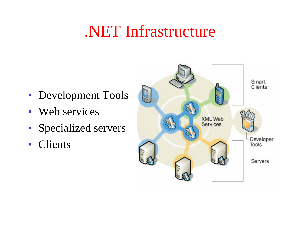## .NET Infrastructure

- Development Tools
- Web services
- Specialized servers
- •Clients

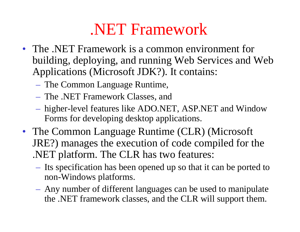- The .NET Framework is a common environment for building, deploying, and running Web Services and Web Applications (Microsoft JDK?). It contains:
	- The Common Language Runtime,
	- The .NET Framework Classes, and
	- higher-level features like ADO.NET, ASP.NET and Window Forms for developing desktop applications.
- The Common Language Runtime (CLR) (Microsoft JRE?) manages the execution of code compiled for the .NET platform. The CLR has two features:
	- Its specification has been opened up so that it can be ported to non-Windows platforms.
	- Any number of different languages can be used to manipulate the .NET framework classes, and the CLR will support them.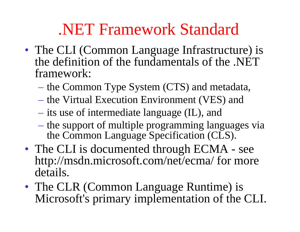#### .NET Framework Standard

- The CLI (Common Language Infrastructure) is the definition of the fundamentals of the .NET framework:
	- the Common Type System (CTS) and metadata,
	- the Virtual Execution Environment (VES) and
	- its use of intermediate language (IL), and
	- the support of multiple programming languages via the Common Language Specification (CLS).
- The CLI is documented through ECMA see http://msdn.microsoft.com/net/ecma/ for more details.
- The CLR (Common Language Runtime) is Microsoft's primary implementation of the CLI.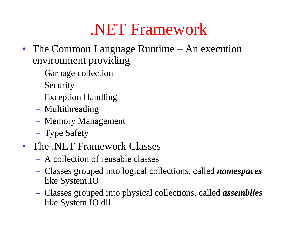- The Common Language Runtime An execution environment providing
	- Garbage collection
	- Security
	- Exception Handling
	- Multithreading
	- Memory Management
	- Type Safety
- The .NET Framework Classes
	- A collection of reusable classes
	- Classes grouped into logical collections, called *namespaces* like System.IO
	- Classes grouped into physical collections, called *assemblies*  like System.IO.dll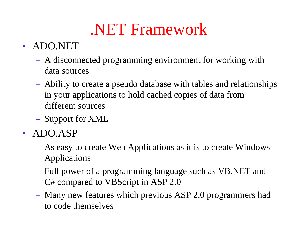#### • ADO.NET

- A disconnected programming environment for working with data sources
- Ability to create a pseudo database with tables and relationships in your applications to hold cached copies of data from different sources
- Support for XML
- ADO.ASP
	- As easy to create Web Applications as it is to create Windows Applications
	- Full power of a programming language such as VB.NET and C# compared to VBScript in ASP 2.0
	- Many new features which previous ASP 2.0 programmers had to code themselves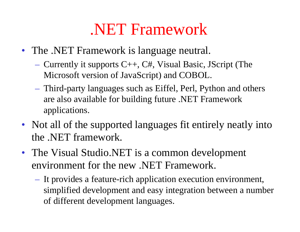- The .NET Framework is language neutral.
	- Currently it supports C++, C#, Visual Basic, JScript (The Microsoft version of JavaScript) and COBOL.
	- Third-party languages such as Eiffel, Perl, Python and others are also available for building future .NET Framework applications.
- Not all of the supported languages fit entirely neatly into the .NET framework.
- The Visual Studio.NET is a common development environment for the new .NET Framework.
	- It provides a feature-rich application execution environment, simplified development and easy integration between a number of different development languages.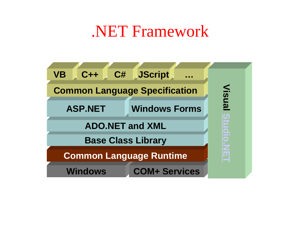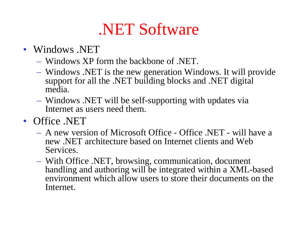#### • Windows .NET

- Windows XP form the backbone of .NET.
- Windows .NET is the new generation Windows. It will provide support for all the .NET building blocks and .NET digital media.
- Windows .NET will be self-supporting with updates via Internet as users need them.
- Office .NET
	- A new version of Microsoft Office Office .NET will have a new .NET architecture based on Internet clients and Web Services.
	- With Office .NET, browsing, communication, document handling and authoring will be integrated within a XML-based environment which allow users to store their documents on the Internet.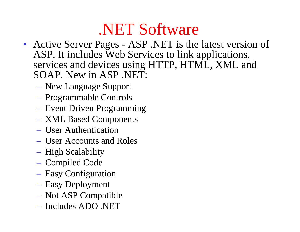- Active Server Pages ASP .NET is the latest version of ASP. It includes Web Services to link applications, services and devices using HTTP, HTML, XML and SOAP. New in ASP .NET:
	- New Language Support
	- Programmable Controls
	- Event Driven Programming
	- XML Based Components
	- User Authentication
	- User Accounts and Roles
	- High Scalability
	- Compiled Code
	- Easy Configuration
	- Easy Deployment
	- Not ASP Compatible
	- Includes ADO .NET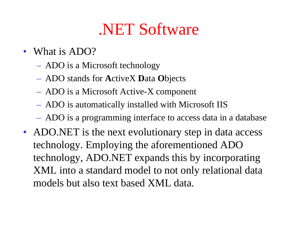- What is ADO?
	- ADO is a Microsoft technology
	- ADO stands for **A**ctiveX **D**ata **O**bjects
	- ADO is a Microsoft Active-X component
	- ADO is automatically installed with Microsoft IIS
	- ADO is a programming interface to access data in a database
- ADO.NET is the next evolutionary step in data access technology. Employing the aforementioned ADO technology, ADO.NET expands this by incorporating XML into a standard model to not only relational data models but also text based XML data.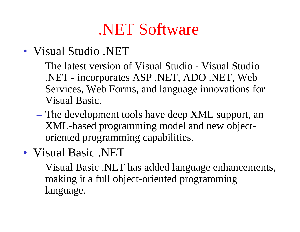- Visual Studio .NET
	- The latest version of Visual Studio Visual Studio .NET - incorporates ASP .NET, ADO .NET, Web Services, Web Forms, and language innovations for Visual Basic.
	- $\mathcal{L}_{\mathcal{A}}$  The development tools have deep XML support, an XML-based programming model and new objectoriented programming capabilities.
- Visual Basic .NET
	- $\mathcal{L}_{\mathcal{A}}$  Visual Basic .NET has added language enhancements, making it a full object-oriented programming language.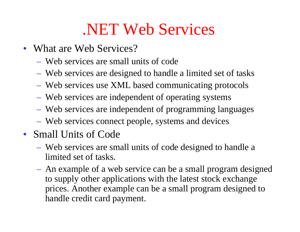## .NET Web Services

- What are Web Services?
	- Web services are small units of code
	- Web services are designed to handle a limited set of tasks
	- Web services use XML based communicating protocols
	- Web services are independent of operating systems
	- Web services are independent of programming languages
	- Web services connect people, systems and devices
- Small Units of Code
	- Web services are small units of code designed to handle a limited set of tasks.
	- An example of a web service can be a small program designed to supply other applications with the latest stock exchange prices. Another example can be a small program designed to handle credit card payment.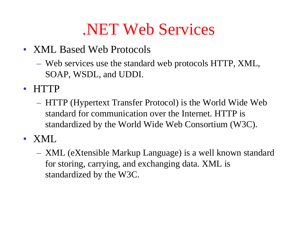## .NET Web Services

- XML Based Web Protocols
	- Web services use the standard web protocols HTTP, XML, SOAP, WSDL, and UDDI.
- HTTP
	- HTTP (Hypertext Transfer Protocol) is the World Wide Web standard for communication over the Internet. HTTP is standardized by the World Wide Web Consortium (W3C).
- XML
	- XML (eXtensible Markup Language) is a well known standard for storing, carrying, and exchanging data. XML is standardized by the W3C.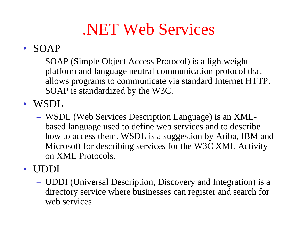# .NET Web Services

#### • SOAP

 SOAP (Simple Object Access Protocol) is a lightweight platform and language neutral communication protocol that allows programs to communicate via standard Internet HTTP. SOAP is standardized by the W3C.

• WSDL

 WSDL (Web Services Description Language) is an XMLbased language used to define web services and to describe how to access them. WSDL is a suggestion by Ariba, IBM and Microsoft for describing services for the W3C XML Activity on XML Protocols.

• UDDI

 UDDI (Universal Description, Discovery and Integration) is a directory service where businesses can register and search for web services.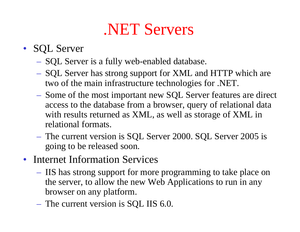## .NET Servers

#### • SQL Server

- $-$  SQL Server is a fully web-enabled database.
- SQL Server has strong support for XML and HTTP which are two of the main infrastructure technologies for .NET.
- Some of the most important new SQL Server features are direct access to the database from a browser, query of relational data with results returned as XML, as well as storage of XML in relational formats.
- The current version is SQL Server 2000. SQL Server 2005 is going to be released soon.
- Internet Information Services
	- IIS has strong support for more programming to take place on the server, to allow the new Web Applications to run in any browser on any platform.
	- The current version is SQL IIS 6.0.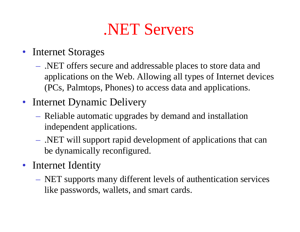### .NET Servers

- Internet Storages
	- .NET offers secure and addressable places to store data and applications on the Web. Allowing all types of Internet devices (PCs, Palmtops, Phones) to access data and applications.
- Internet Dynamic Delivery
	- Reliable automatic upgrades by demand and installation independent applications.
	- .NET will support rapid development of applications that can be dynamically reconfigured.
- Internet Identity
	- NET supports many different levels of authentication services like passwords, wallets, and smart cards.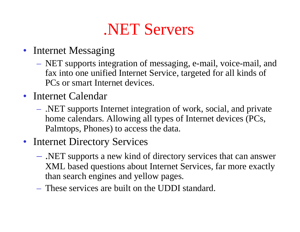## .NET Servers

- Internet Messaging
	- NET supports integration of messaging, e-mail, voice-mail, and fax into one unified Internet Service, targeted for all kinds of PCs or smart Internet devices.
- Internet Calendar
	- .NET supports Internet integration of work, social, and private home calendars. Allowing all types of Internet devices (PCs, Palmtops, Phones) to access the data.
- Internet Directory Services
	- .NET supports a new kind of directory services that can answer XML based questions about Internet Services, far more exactly than search engines and yellow pages.
	- These services are built on the UDDI standard.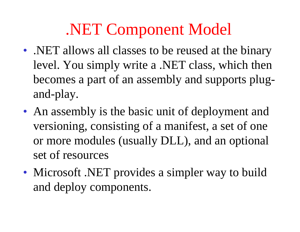# .NET Component Model

- .NET allows all classes to be reused at the binary level. You simply write a .NET class, which then becomes a part of an assembly and supports plugand-play.
- An assembly is the basic unit of deployment and versioning, consisting of a manifest, a set of one or more modules (usually DLL), and an optional set of resources
- Microsoft .NET provides a simpler way to build and deploy components.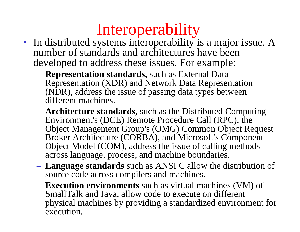# Interoperability

- In distributed systems interoperability is a major issue. A number of standards and architectures have been developed to address these issues. For example:
	- **Representation standards,** such as External Data Representation (XDR) and Network Data Representation (NDR), address the issue of passing data types between different machines.
	- **Architecture standards,** such as the Distributed Computing Environment's (DCE) Remote Procedure Call (RPC), the Object Management Group's (OMG) Common Object Request Broker Architecture (CORBA), and Microsoft's Component Object Model (COM), address the issue of calling methods across language, process, and machine boundaries.
	- **Language standards** such as ANSI C allow the distribution of source code across compilers and machines.
	- **Execution environments** such as virtual machines (VM) of SmallTalk and Java, allow code to execute on different physical machines by providing a standardized environment for execution.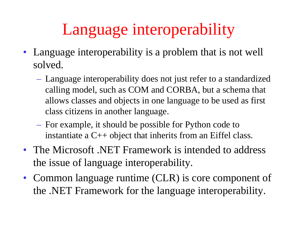# Language interoperability

- Language interoperability is a problem that is not well solved.
	- Language interoperability does not just refer to a standardized calling model, such as COM and CORBA, but a schema that allows classes and objects in one language to be used as first class citizens in another language.
	- For example, it should be possible for Python code to instantiate a C++ object that inherits from an Eiffel class.
- The Microsoft .NET Framework is intended to address the issue of language interoperability.
- Common language runtime (CLR) is core component of the .NET Framework for the language interoperability.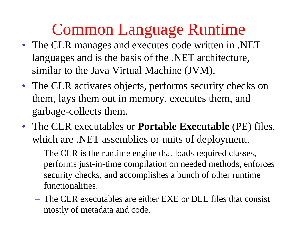- The CLR manages and executes code written in .NET languages and is the basis of the .NET architecture, similar to the Java Virtual Machine (JVM).
- The CLR activates objects, performs security checks on them, lays them out in memory, executes them, and garbage-collects them.
- The CLR executables or **Portable Executable** (PE) files, which are .NET assemblies or units of deployment.
	- $\mathcal{L}_{\mathcal{A}}$  The CLR is the runtime engine that loads required classes, performs just-in-time compilation on needed methods, enforces security checks, and accomplishes a bunch of other runtime functionalities.
	- The CLR executables are either EXE or DLL files that consist mostly of metadata and code.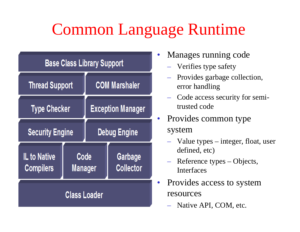| <b>Base Class Library Support</b> |                        |                          |                             |  |
|-----------------------------------|------------------------|--------------------------|-----------------------------|--|
| <b>Thread Support</b>             |                        | <b>COM Marshaler</b>     |                             |  |
| <b>Type Checker</b>               |                        | <b>Exception Manager</b> |                             |  |
| <b>Security Engine</b>            |                        | <b>Debug Engine</b>      |                             |  |
| IL to Native<br><b>Compilers</b>  | Code<br><b>Manager</b> |                          | Garbage<br><b>Collector</b> |  |
| <b>Class Loader</b>               |                        |                          |                             |  |

- • Manages running code
	- Verifies type safety
	- Provides garbage collection, error handling
	- Code access security for semitrusted code
- Provides common type system
	- Value types integer, float, user defined, etc)
	- Reference types Objects, Interfaces
- Provides access to system resources
	- Native API, COM, etc.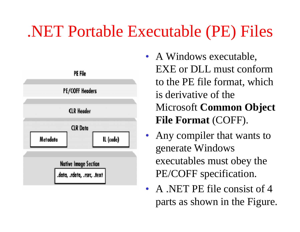## .NET Portable Executable (PE) Files



- A Windows executable, EXE or DLL must conform to the PE file format, which is derivative of the Microsoft **Common Object File Format** (COFF).
- • Any compiler that wants to generate Windows executables must obey the PE/COFF specification.
- A .NET PE file consist of 4 parts as shown in the Figure.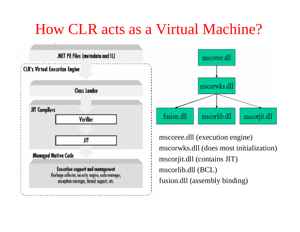#### How CLR acts as a Virtual Machine?

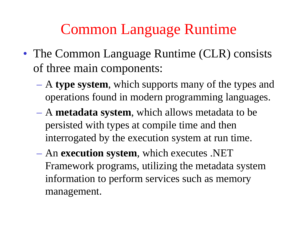- The Common Language Runtime (CLR) consists of three main components:
	- $\mathcal{L}_{\mathcal{A}}$  A **type system**, which supports many of the types and operations found in modern programming languages.
	- A **metadata system**, which allows metadata to be persisted with types at compile time and then interrogated by the execution system at run time.
	- $\mathcal{L}_{\mathcal{A}}$  An **execution system**, which executes .NET Framework programs, utilizing the metadata system information to perform services such as memory management.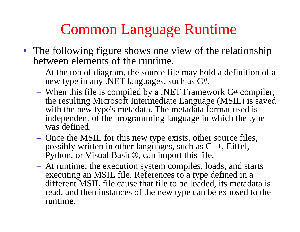- The following figure shows one view of the relationship between elements of the runtime.
	- At the top of diagram, the source file may hold a definition of a new type in any .NET languages, such as C#.
	- When this file is compiled by a .NET Framework C# compiler, the resulting Microsoft Intermediate Language (MSIL) is saved with the new type's metadata. The metadata format used is independent of the programming language in which the type was defined.
	- Once the MSIL for this new type exists, other source files, possibly written in other languages, such as C++, Eiffel, Python, or Visual Basic®, can import this file.
	- At runtime, the execution system compiles, loads, and starts executing an MSIL file. References to a type defined in a different MSIL file cause that file to be loaded, its metadata is read, and then instances of the new type can be exposed to the runtime.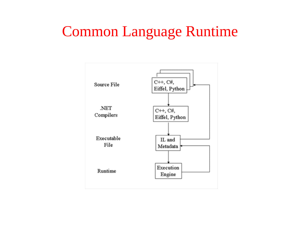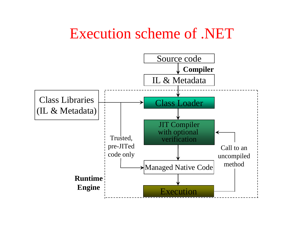#### Execution scheme of .NET

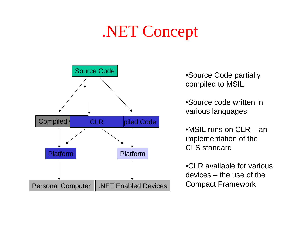# .NET Concept



•Source Code partially compiled to MSIL

•Source code written in various languages

 $\bullet$ MSIL runs on CLR – an implementation of the CLS standard

•CLR available for various devices – the use of the Compact Framework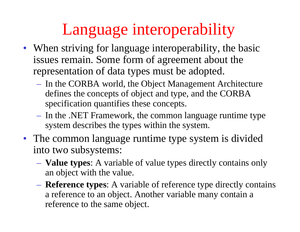# Language interoperability

- When striving for language interoperability, the basic issues remain. Some form of agreement about the representation of data types must be adopted.
	- In the CORBA world, the Object Management Architecture defines the concepts of object and type, and the CORBA specification quantifies these concepts.
	- In the .NET Framework, the common language runtime type system describes the types within the system.
- The common language runtime type system is divided into two subsystems:
	- **Value types**: A variable of value types directly contains only an object with the value.
	- **Reference types**: A variable of reference type directly contains a reference to an object. Another variable many contain a reference to the same object.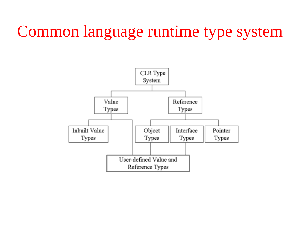## Common language runtime type system

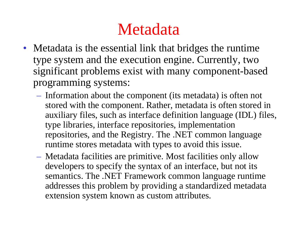## Metadata

- Metadata is the essential link that bridges the runtime type system and the execution engine. Currently, two significant problems exist with many component-based programming systems:
	- Information about the component (its metadata) is often not stored with the component. Rather, metadata is often stored in auxiliary files, such as interface definition language (IDL) files, type libraries, interface repositories, implementation repositories, and the Registry. The .NET common language runtime stores metadata with types to avoid this issue.
	- Metadata facilities are primitive. Most facilities only allow developers to specify the syntax of an interface, but not its semantics. The .NET Framework common language runtime addresses this problem by providing a standardized metadata extension system known as custom attributes.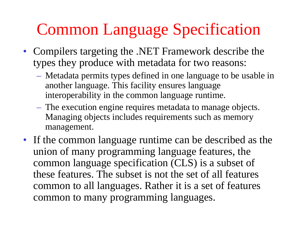# Common Language Specification

- Compilers targeting the .NET Framework describe the types they produce with metadata for two reasons:
	- Metadata permits types defined in one language to be usable in another language. This facility ensures language interoperability in the common language runtime.
	- The execution engine requires metadata to manage objects. Managing objects includes requirements such as memory management.
- If the common language runtime can be described as the union of many programming language features, the common language specification (CLS) is a subset of these features. The subset is not the set of all features common to all languages. Rather it is a set of features common to many programming languages.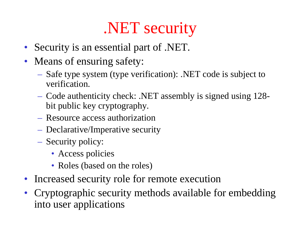# .NET security

- Security is an essential part of .NET.
- Means of ensuring safety:
	- Safe type system (type verification): .NET code is subject to verification.
	- Code authenticity check: .NET assembly is signed using 128 bit public key cryptography.
	- Resource access authorization
	- Declarative/Imperative security
	- Security policy:
		- Access policies
		- Roles (based on the roles)
- Increased security role for remote execution
- Cryptographic security methods available for embedding into user applications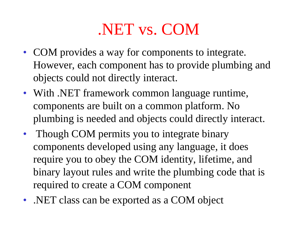## .NET vs. COM

- COM provides a way for components to integrate. However, each component has to provide plumbing and objects could not directly interact.
- With .NET framework common language runtime, components are built on a common platform. No plumbing is needed and objects could directly interact.
- Though COM permits you to integrate binary components developed using any language, it does require you to obey the COM identity, lifetime, and binary layout rules and write the plumbing code that is required to create a COM component
- .NET class can be exported as a COM object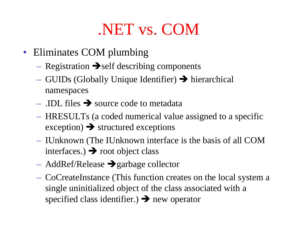## .NET vs. COM

- Eliminates COM plumbing
	- $-$  Registration  $\rightarrow$  self describing components
	- $-$  GUIDs (Globally Unique Identifier)  $\rightarrow$  hierarchical namespaces
	- $\overline{\phantom{a}}$  .IDL files  $\rightarrow$  source code to metadata
	- HRESULTs (a coded numerical value assigned to a specific exception)  $\rightarrow$  structured exceptions
	- IUnknown (The IUnknown interface is the basis of all COM interfaces.)  $\rightarrow$  root object class
	- $-$  AddRef/Release  $\rightarrow$  garbage collector
	- CoCreateInstance (This function creates on the local system a single uninitialized object of the class associated with a specified class identifier.)  $\rightarrow$  new operator